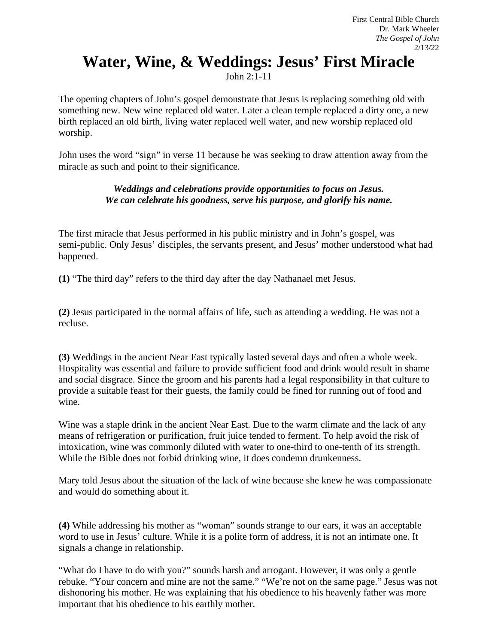## **Water, Wine, & Weddings: Jesus' First Miracle**

John 2:1-11

The opening chapters of John's gospel demonstrate that Jesus is replacing something old with something new. New wine replaced old water. Later a clean temple replaced a dirty one, a new birth replaced an old birth, living water replaced well water, and new worship replaced old worship.

John uses the word "sign" in verse 11 because he was seeking to draw attention away from the miracle as such and point to their significance.

## *Weddings and celebrations provide opportunities to focus on Jesus. We can celebrate his goodness, serve his purpose, and glorify his name.*

The first miracle that Jesus performed in his public ministry and in John's gospel, was semi-public. Only Jesus' disciples, the servants present, and Jesus' mother understood what had happened.

**(1)** "The third day" refers to the third day after the day Nathanael met Jesus.

**(2)** Jesus participated in the normal affairs of life, such as attending a wedding. He was not a recluse.

**(3)** Weddings in the ancient Near East typically lasted several days and often a whole week. Hospitality was essential and failure to provide sufficient food and drink would result in shame and social disgrace. Since the groom and his parents had a legal responsibility in that culture to provide a suitable feast for their guests, the family could be fined for running out of food and wine.

Wine was a staple drink in the ancient Near East. Due to the warm climate and the lack of any means of refrigeration or purification, fruit juice tended to ferment. To help avoid the risk of intoxication, wine was commonly diluted with water to one-third to one-tenth of its strength. While the Bible does not forbid drinking wine, it does condemn drunkenness.

Mary told Jesus about the situation of the lack of wine because she knew he was compassionate and would do something about it.

**(4)** While addressing his mother as "woman" sounds strange to our ears, it was an acceptable word to use in Jesus' culture. While it is a polite form of address, it is not an intimate one. It signals a change in relationship.

"What do I have to do with you?" sounds harsh and arrogant. However, it was only a gentle rebuke. "Your concern and mine are not the same." "We're not on the same page." Jesus was not dishonoring his mother. He was explaining that his obedience to his heavenly father was more important that his obedience to his earthly mother.